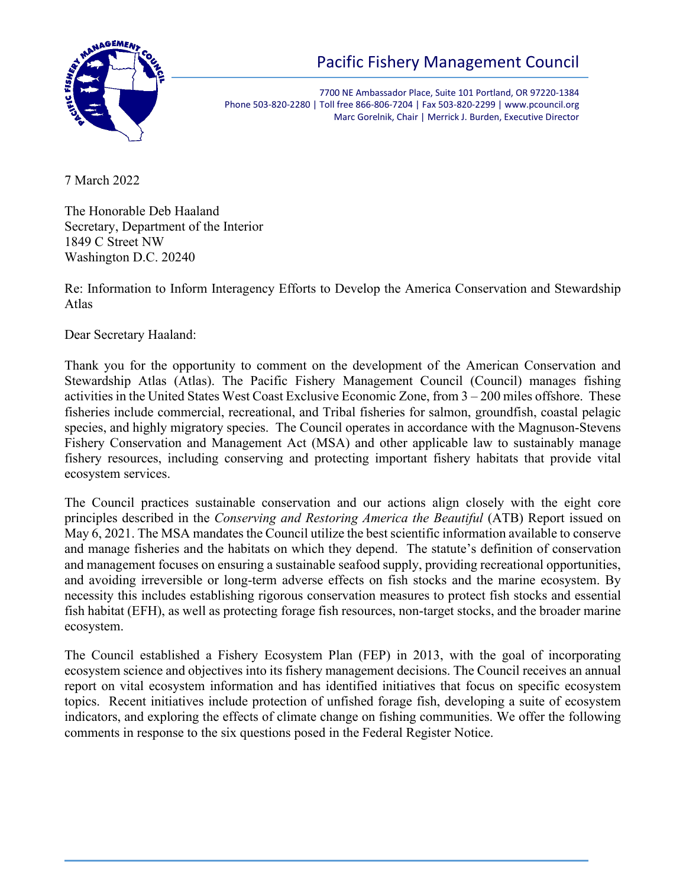

# Pacific Fishery Management Council

7700 NE Ambassador Place, Suite 101 Portland, OR 97220-1384 Phone 503-820-2280 | Toll free 866-806-7204 | Fax 503-820-2299 | www.pcouncil.org Marc Gorelnik, Chair | Merrick J. Burden, Executive Director

7 March 2022

The Honorable Deb Haaland Secretary, Department of the Interior 1849 C Street NW Washington D.C. 20240

Re: Information to Inform Interagency Efforts to Develop the America Conservation and Stewardship Atlas

Dear Secretary Haaland:

Thank you for the opportunity to comment on the development of the American Conservation and Stewardship Atlas (Atlas). The Pacific Fishery Management Council (Council) manages fishing activities in the United States West Coast Exclusive Economic Zone, from 3 – 200 miles offshore. These fisheries include commercial, recreational, and Tribal fisheries for salmon, groundfish, coastal pelagic species, and highly migratory species. The Council operates in accordance with the Magnuson-Stevens Fishery Conservation and Management Act (MSA) and other applicable law to sustainably manage fishery resources, including conserving and protecting important fishery habitats that provide vital ecosystem services.

The Council practices sustainable conservation and our actions align closely with the eight core principles described in the *Conserving and Restoring America the Beautiful* (ATB) Report issued on May 6, 2021. The MSA mandates the Council utilize the best scientific information available to conserve and manage fisheries and the habitats on which they depend. The statute's definition of conservation and management focuses on ensuring a sustainable seafood supply, providing recreational opportunities, and avoiding irreversible or long-term adverse effects on fish stocks and the marine ecosystem. By necessity this includes establishing rigorous conservation measures to protect fish stocks and essential fish habitat (EFH), as well as protecting forage fish resources, non-target stocks, and the broader marine ecosystem.

The Council established a Fishery Ecosystem Plan (FEP) in 2013, with the goal of incorporating ecosystem science and objectives into its fishery management decisions. The Council receives an annual report on vital ecosystem information and has identified initiatives that focus on specific ecosystem topics. Recent initiatives include protection of unfished forage fish, developing a suite of ecosystem indicators, and exploring the effects of climate change on fishing communities. We offer the following comments in response to the six questions posed in the Federal Register Notice.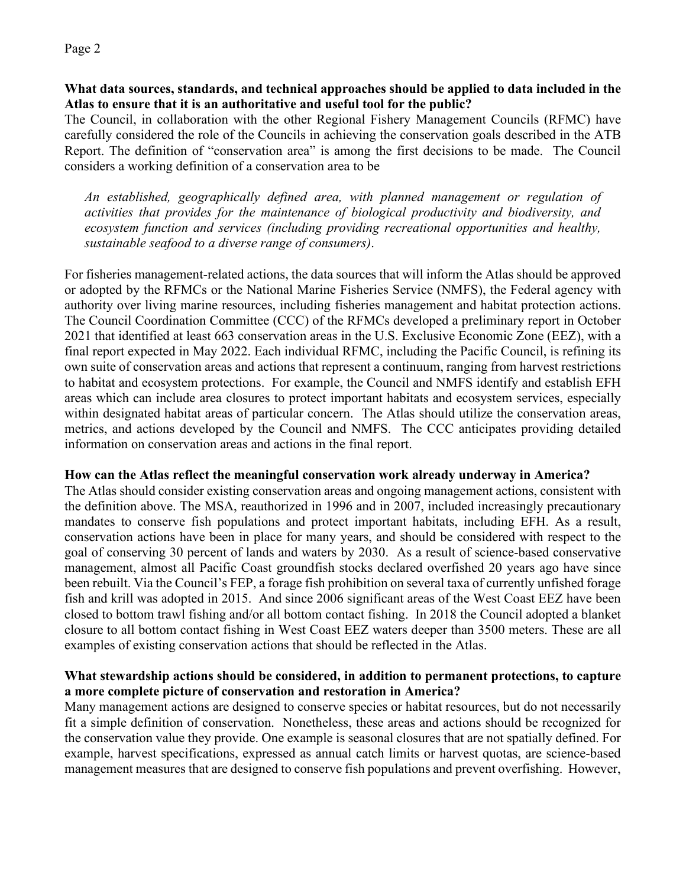#### **What data sources, standards, and technical approaches should be applied to data included in the Atlas to ensure that it is an authoritative and useful tool for the public?**

The Council, in collaboration with the other Regional Fishery Management Councils (RFMC) have carefully considered the role of the Councils in achieving the conservation goals described in the ATB Report. The definition of "conservation area" is among the first decisions to be made. The Council considers a working definition of a conservation area to be

*An established, geographically defined area, with planned management or regulation of activities that provides for the maintenance of biological productivity and biodiversity, and ecosystem function and services (including providing recreational opportunities and healthy, sustainable seafood to a diverse range of consumers)*.

For fisheries management-related actions, the data sources that will inform the Atlas should be approved or adopted by the RFMCs or the National Marine Fisheries Service (NMFS), the Federal agency with authority over living marine resources, including fisheries management and habitat protection actions. The Council Coordination Committee (CCC) of the RFMCs developed a preliminary report in October 2021 that identified at least 663 conservation areas in the U.S. Exclusive Economic Zone (EEZ), with a final report expected in May 2022. Each individual RFMC, including the Pacific Council, is refining its own suite of conservation areas and actions that represent a continuum, ranging from harvest restrictions to habitat and ecosystem protections. For example, the Council and NMFS identify and establish EFH areas which can include area closures to protect important habitats and ecosystem services, especially within designated habitat areas of particular concern. The Atlas should utilize the conservation areas, metrics, and actions developed by the Council and NMFS. The CCC anticipates providing detailed information on conservation areas and actions in the final report.

## **How can the Atlas reflect the meaningful conservation work already underway in America?**

The Atlas should consider existing conservation areas and ongoing management actions, consistent with the definition above. The MSA, reauthorized in 1996 and in 2007, included increasingly precautionary mandates to conserve fish populations and protect important habitats, including EFH. As a result, conservation actions have been in place for many years, and should be considered with respect to the goal of conserving 30 percent of lands and waters by 2030. As a result of science-based conservative management, almost all Pacific Coast groundfish stocks declared overfished 20 years ago have since been rebuilt. Via the Council's FEP, a forage fish prohibition on several taxa of currently unfished forage fish and krill was adopted in 2015. And since 2006 significant areas of the West Coast EEZ have been closed to bottom trawl fishing and/or all bottom contact fishing. In 2018 the Council adopted a blanket closure to all bottom contact fishing in West Coast EEZ waters deeper than 3500 meters. These are all examples of existing conservation actions that should be reflected in the Atlas.

#### **What stewardship actions should be considered, in addition to permanent protections, to capture a more complete picture of conservation and restoration in America?**

Many management actions are designed to conserve species or habitat resources, but do not necessarily fit a simple definition of conservation. Nonetheless, these areas and actions should be recognized for the conservation value they provide. One example is seasonal closures that are not spatially defined. For example, harvest specifications, expressed as annual catch limits or harvest quotas, are science-based management measures that are designed to conserve fish populations and prevent overfishing. However,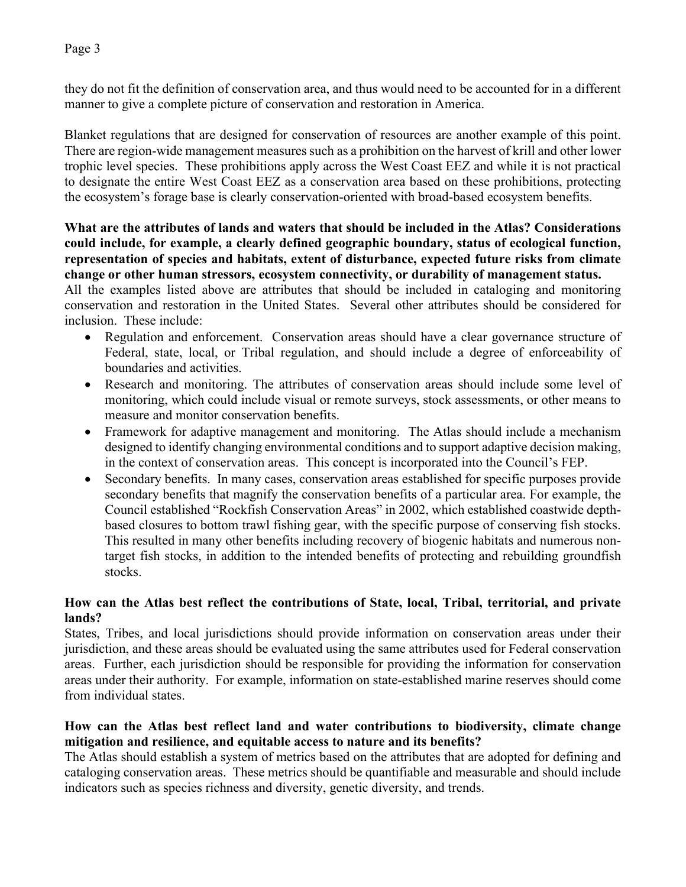Page 3

they do not fit the definition of conservation area, and thus would need to be accounted for in a different manner to give a complete picture of conservation and restoration in America.

Blanket regulations that are designed for conservation of resources are another example of this point. There are region-wide management measures such as a prohibition on the harvest of krill and other lower trophic level species. These prohibitions apply across the West Coast EEZ and while it is not practical to designate the entire West Coast EEZ as a conservation area based on these prohibitions, protecting the ecosystem's forage base is clearly conservation-oriented with broad-based ecosystem benefits.

#### **What are the attributes of lands and waters that should be included in the Atlas? Considerations could include, for example, a clearly defined geographic boundary, status of ecological function, representation of species and habitats, extent of disturbance, expected future risks from climate change or other human stressors, ecosystem connectivity, or durability of management status.**

All the examples listed above are attributes that should be included in cataloging and monitoring conservation and restoration in the United States. Several other attributes should be considered for inclusion. These include:

- Regulation and enforcement. Conservation areas should have a clear governance structure of Federal, state, local, or Tribal regulation, and should include a degree of enforceability of boundaries and activities.
- Research and monitoring. The attributes of conservation areas should include some level of monitoring, which could include visual or remote surveys, stock assessments, or other means to measure and monitor conservation benefits.
- Framework for adaptive management and monitoring. The Atlas should include a mechanism designed to identify changing environmental conditions and to support adaptive decision making, in the context of conservation areas. This concept is incorporated into the Council's FEP.
- Secondary benefits. In many cases, conservation areas established for specific purposes provide secondary benefits that magnify the conservation benefits of a particular area. For example, the Council established "Rockfish Conservation Areas" in 2002, which established coastwide depthbased closures to bottom trawl fishing gear, with the specific purpose of conserving fish stocks. This resulted in many other benefits including recovery of biogenic habitats and numerous nontarget fish stocks, in addition to the intended benefits of protecting and rebuilding groundfish stocks.

## **How can the Atlas best reflect the contributions of State, local, Tribal, territorial, and private lands?**

States, Tribes, and local jurisdictions should provide information on conservation areas under their jurisdiction, and these areas should be evaluated using the same attributes used for Federal conservation areas. Further, each jurisdiction should be responsible for providing the information for conservation areas under their authority. For example, information on state-established marine reserves should come from individual states.

# **How can the Atlas best reflect land and water contributions to biodiversity, climate change mitigation and resilience, and equitable access to nature and its benefits?**

The Atlas should establish a system of metrics based on the attributes that are adopted for defining and cataloging conservation areas. These metrics should be quantifiable and measurable and should include indicators such as species richness and diversity, genetic diversity, and trends.